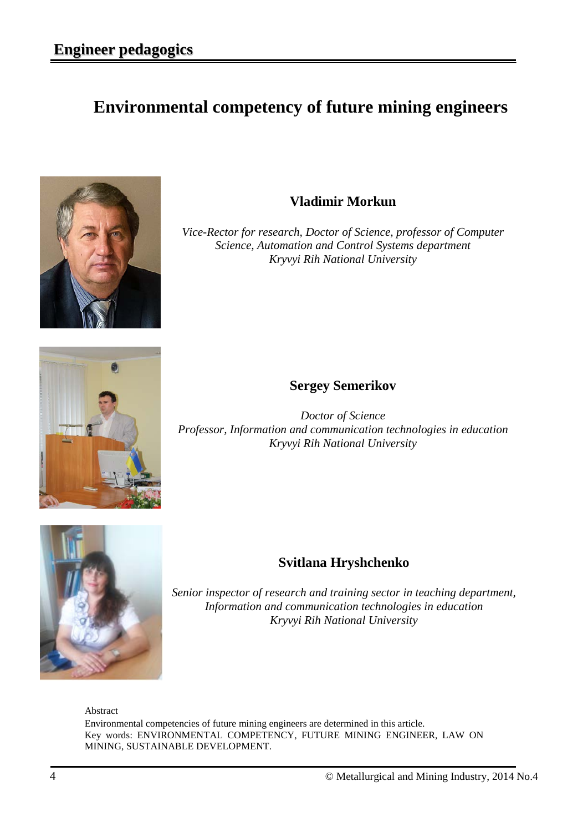# **Environmental competency of future mining engineers**



# **Vladimir Morkun**

*Vice-Rector for research, Doctor of Science, professor of Computer Science, Automation and Control Systems department Kryvyi Rih National University*



### **Sergey Semerikov**

*Doctor of Science Professor, Information and communication technologies in education Kryvyi Rih National University*



# **Svitlana Hryshchenko**

*Senior inspector of research and training sector in teaching department, Information and communication technologies in education Kryvyi Rih National University*

Abstract

Environmental competencies of future mining engineers are determined in this article. Key words: ENVIRONMENTAL COMPETENCY, FUTURE MINING ENGINEER, LAW ON MINING, SUSTAINABLE DEVELOPMENT.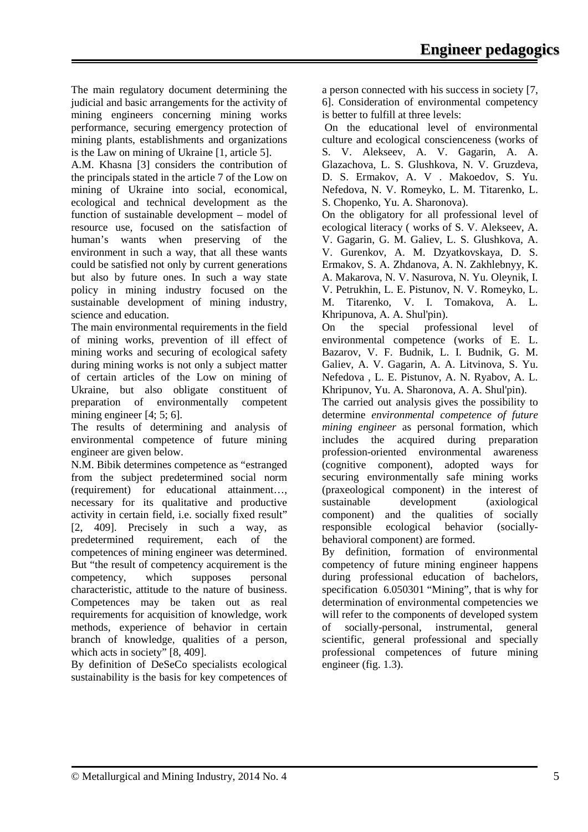The main regulatory document determining the judicial and basic arrangements for the activity of mining engineers concerning mining works performance, securing emergency protection of mining plants, establishments and organizations is the Law on mining of Ukraine [1, article 5].

A.M. Khasna [3] considers the contribution of the principals stated in the article 7 of the Low on mining of Ukraine into social, economical, ecological and technical development as the function of sustainable development – model of resource use, focused on the satisfaction of human's wants when preserving of the environment in such a way, that all these wants could be satisfied not only by current generations but also by future ones. In such a way state policy in mining industry focused on the sustainable development of mining industry, science and education.

The main environmental requirements in the field of mining works, prevention of ill effect of mining works and securing of ecological safety during mining works is not only a subject matter of certain articles of the Low on mining of Ukraine, but also obligate constituent of preparation of environmentally competent mining engineer [4; 5; 6].

The results of determining and analysis of environmental competence of future mining engineer are given below.

N.M. Bibik determines competence as "estranged from the subject predetermined social norm (requirement) for educational attainment…, necessary for its qualitative and productive activity in certain field, i.e. socially fixed result" [2, 409]. Precisely in such a way, as predetermined requirement, each of the competences of mining engineer was determined. But "the result of competency acquirement is the competency, which supposes personal characteristic, attitude to the nature of business. Competences may be taken out as real requirements for acquisition of knowledge, work methods, experience of behavior in certain branch of knowledge, qualities of a person, which acts in society" [8, 409].

By definition of DeSeCo specialists ecological sustainability is the basis for key competences of a person connected with his success in society [7, 6]. Consideration of environmental competency is better to fulfill at three levels:

On the educational level of environmental culture and ecological conscienceness (works of S. V. Alekseev, A. V. Gagarin, A. A. Glazachova, L. S. Glushkova, N. V. Gruzdeva, D. S. Ermakov, A. V . Makoedov, S. Yu. Nefedova, N. V. Romeyko, L. M. Titarenko, L. S. Chopenko, Yu. A. Sharonova).

On the obligatory for all professional level of ecological literacy ( works of S. V. Alekseev, A. V. Gagarin, G. M. Galiev, L. S. Glushkova, A. V. Gurenkov, A. M. Dzyatkovskaya, D. S. Ermakov, S. A. Zhdanova, A. N. Zakhlebnyy, K. A. Makarova, N. V. Nasurova, N. Yu. Oleynik, I. V. Petrukhin, L. E. Pistunov, N. V. Romeyko, L. M. Titarenko, V. I. Tomakova, A. L. Khripunova, A. A. Shul'pin).

On the special professional level of environmental competence (works of E. L. Bazarov, V. F. Budnik, L. I. Budnik, G. M. Galiev, A. V. Gagarin, A. A. Litvinova, S. Yu. Nefedova , L. E. Pistunov, A. N. Ryabov, A. L. Khripunov, Yu. A. Sharonova, A. A. Shul'pin).

The carried out analysis gives the possibility to determine *environmental competence of future mining engineer* as personal formation, which includes the acquired during preparation profession-oriented environmental awareness (cognitive component), adopted ways for securing environmentally safe mining works (praxeological component) in the interest of sustainable development (axiological component) and the qualities of socially responsible ecological behavior (sociallybehavioral component) are formed.

By definition, formation of environmental competency of future mining engineer happens during professional education of bachelors, specification 6.050301 "Mining", that is why for determination of environmental competencies we will refer to the components of developed system of socially-personal, instrumental, general scientific, general professional and specially professional competences of future mining engineer (fig. 1.3).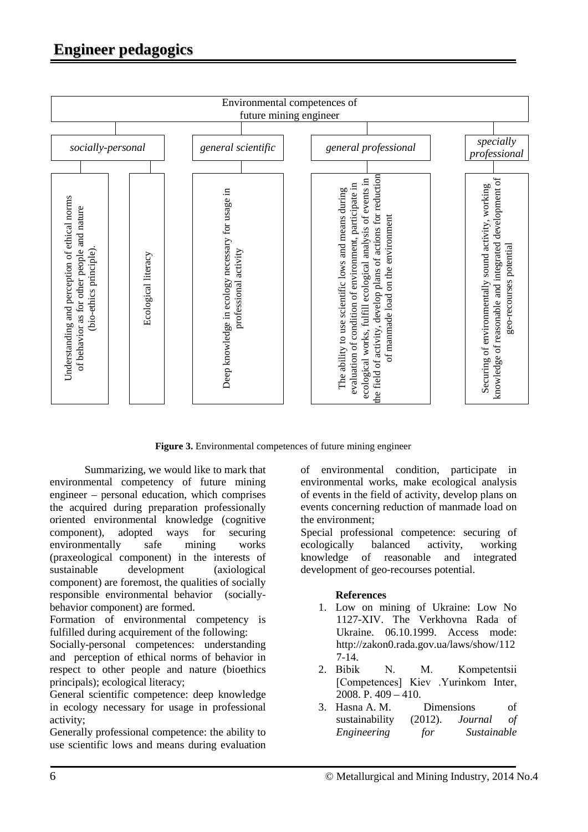

**Figure 3.** Environmental competences of future mining engineer

Summarizing, we would like to mark that environmental competency of future mining engineer – personal education, which comprises the acquired during preparation professionally oriented environmental knowledge (cognitive component), adopted ways for securing environmentally safe mining works (praxeological component) in the interests of sustainable development (axiological component) are foremost, the qualities of socially responsible environmental behavior (sociallybehavior component) are formed.

Formation of environmental competency is fulfilled during acquirement of the following:

Socially-personal competences: understanding and perception of ethical norms of behavior in respect to other people and nature (bioethics principals); ecological literacy;

General scientific competence: deep knowledge in ecology necessary for usage in professional activity;

Generally professional competence: the ability to use scientific lows and means during evaluation

of environmental condition, participate in environmental works, make ecological analysis of events in the field of activity, develop plans on events concerning reduction of manmade load on the environment;

Special professional competence: securing of ecologically balanced activity, working knowledge of reasonable and integrated development of geo-recourses potential.

#### **References**

- 1. Low on mining of Ukraine: Low No 1127-XIV. The Verkhovna Rada of Ukraine. 06.10.1999. Access mode: [http://zakon0.rada.gov.ua/laws/show/112](http://zakon0.rada.gov.ua/laws/show/1127-14) [7-14.](http://zakon0.rada.gov.ua/laws/show/1127-14)
- 2. Bіbіk N. M. Kompetentsii [Competences] Kiev .Yurіnkom Іnter, 2008. P. 409 – 410.
- 3. Hasna A. M. Dimensions of sustainability (2012). *Journal of Engineering for Sustainable*